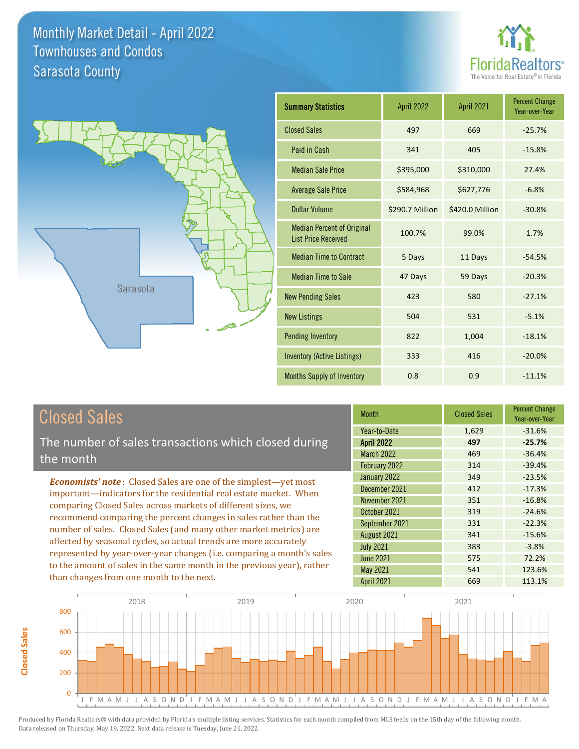



| <b>Summary Statistics</b>                                       | April 2022      | April 2021      | <b>Percent Change</b><br>Year-over-Year |
|-----------------------------------------------------------------|-----------------|-----------------|-----------------------------------------|
| <b>Closed Sales</b>                                             | 497             | 669             | $-25.7%$                                |
| Paid in Cash                                                    | 341             | 405             | $-15.8%$                                |
| <b>Median Sale Price</b>                                        | \$395,000       | \$310,000       | 27.4%                                   |
| <b>Average Sale Price</b>                                       | \$584,968       | \$627,776       | $-6.8%$                                 |
| <b>Dollar Volume</b>                                            | \$290.7 Million | \$420.0 Million | $-30.8%$                                |
| <b>Median Percent of Original</b><br><b>List Price Received</b> | 100.7%          | 99.0%           | 1.7%                                    |
| <b>Median Time to Contract</b>                                  | 5 Days          | 11 Days         | $-54.5%$                                |
| <b>Median Time to Sale</b>                                      | 47 Days         | 59 Days         | $-20.3%$                                |
| <b>New Pending Sales</b>                                        | 423             | 580             | $-27.1%$                                |
| <b>New Listings</b>                                             | 504             | 531             | $-5.1%$                                 |
| Pending Inventory                                               | 822             | 1,004           | $-18.1%$                                |
| <b>Inventory (Active Listings)</b>                              | 333             | 416             | $-20.0%$                                |
| <b>Months Supply of Inventory</b>                               | 0.8             | 0.9             | $-11.1%$                                |

# Closed Sales

**Closed Sales**

**Closed Sales** 

The number of sales transactions which closed during the month

*Economists' note* : Closed Sales are one of the simplest—yet most important—indicators for the residential real estate market. When comparing Closed Sales across markets of different sizes, we recommend comparing the percent changes in sales rather than the number of sales. Closed Sales (and many other market metrics) are affected by seasonal cycles, so actual trends are more accurately represented by year-over-year changes (i.e. comparing a month's sales to the amount of sales in the same month in the previous year), rather than changes from one month to the next.

| <b>Month</b>      | <b>Closed Sales</b> | <b>Percent Change</b><br>Year-over-Year |
|-------------------|---------------------|-----------------------------------------|
| Year-to-Date      | 1,629               | $-31.6%$                                |
| <b>April 2022</b> | 497                 | $-25.7%$                                |
| <b>March 2022</b> | 469                 | $-36.4%$                                |
| February 2022     | 314                 | $-39.4%$                                |
| January 2022      | 349                 | $-23.5%$                                |
| December 2021     | 412                 | $-17.3%$                                |
| November 2021     | 351                 | $-16.8%$                                |
| October 2021      | 319                 | $-24.6%$                                |
| September 2021    | 331                 | $-22.3%$                                |
| August 2021       | 341                 | $-15.6%$                                |
| <b>July 2021</b>  | 383                 | $-3.8%$                                 |
| <b>June 2021</b>  | 575                 | 72.2%                                   |
| May 2021          | 541                 | 123.6%                                  |
| April 2021        | 669                 | 113.1%                                  |

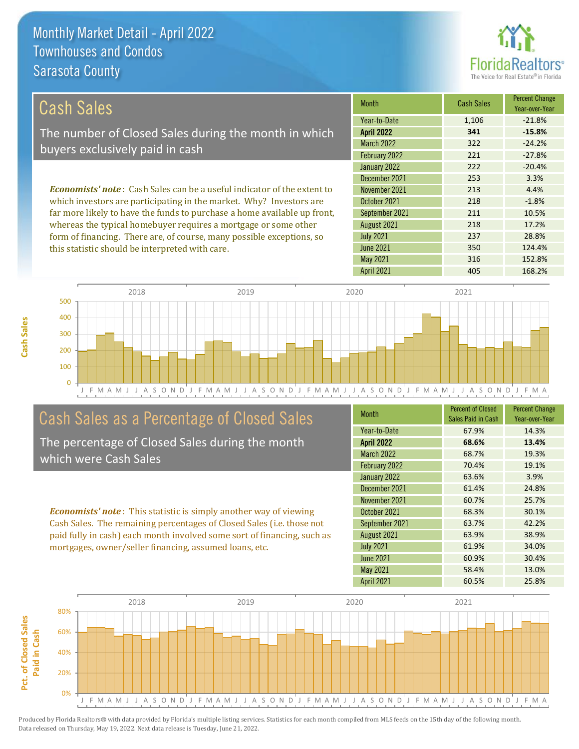this statistic should be interpreted with care.



350 124.4%

| Cash Sales                                                                     | <b>Month</b>      | <b>Cash Sales</b> | <b>Percent Change</b><br>Year-over-Year |
|--------------------------------------------------------------------------------|-------------------|-------------------|-----------------------------------------|
|                                                                                | Year-to-Date      | 1,106             | $-21.8%$                                |
| The number of Closed Sales during the month in which                           | <b>April 2022</b> | 341               | $-15.8%$                                |
| buyers exclusively paid in cash                                                | <b>March 2022</b> | 322               | $-24.2%$                                |
|                                                                                | February 2022     | 221               | $-27.8%$                                |
|                                                                                | January 2022      | 222               | $-20.4%$                                |
|                                                                                | December 2021     | 253               | 3.3%                                    |
| <b>Economists' note:</b> Cash Sales can be a useful indicator of the extent to | November 2021     | 213               | 4.4%                                    |
| which investors are participating in the market. Why? Investors are            | October 2021      | 218               | $-1.8%$                                 |
| far more likely to have the funds to purchase a home available up front,       | September 2021    | 211               | 10.5%                                   |
| whereas the typical homebuyer requires a mortgage or some other                | August 2021       | 218               | 17.2%                                   |
| form of financing. There are, of course, many possible exceptions, so          | <b>July 2021</b>  | 237               | 28.8%                                   |

J F M A M J J A S O N D J F M A M J J A S O N D J F M A M J J A S O N D J F M A M J J A S O N D J F M A 0 100 200 300 400 500 2018 2019 2020 2021

# Cash Sales as a Percentage of Closed Sales

The percentage of Closed Sales during the month which were Cash Sales

*Economists' note* : This statistic is simply another way of viewing

| <b>Month</b>      | <b>Percent of Closed</b><br>Sales Paid in Cash | <b>Percent Change</b><br>Year-over-Year |
|-------------------|------------------------------------------------|-----------------------------------------|
| Year-to-Date      | 67.9%                                          | 14.3%                                   |
| <b>April 2022</b> | 68.6%                                          | 13.4%                                   |
| <b>March 2022</b> | 68.7%                                          | 19.3%                                   |
| February 2022     | 70.4%                                          | 19.1%                                   |
| January 2022      | 63.6%                                          | 3.9%                                    |
| December 2021     | 61.4%                                          | 24.8%                                   |
| November 2021     | 60.7%                                          | 25.7%                                   |
| October 2021      | 68.3%                                          | 30.1%                                   |
| September 2021    | 63.7%                                          | 42.2%                                   |
| August 2021       | 63.9%                                          | 38.9%                                   |
| <b>July 2021</b>  | 61.9%                                          | 34.0%                                   |
| <b>June 2021</b>  | 60.9%                                          | 30.4%                                   |
| <b>May 2021</b>   | 58.4%                                          | 13.0%                                   |
| <b>April 2021</b> | 60.5%                                          | 25.8%                                   |

May 2021 316 316 152.8%

June 2021

April 2021 168.2%



**Cash Sales**

Cash Sales. The remaining percentages of Closed Sales (i.e. those not paid fully in cash) each month involved some sort of financing, such as mortgages, owner/seller financing, assumed loans, etc.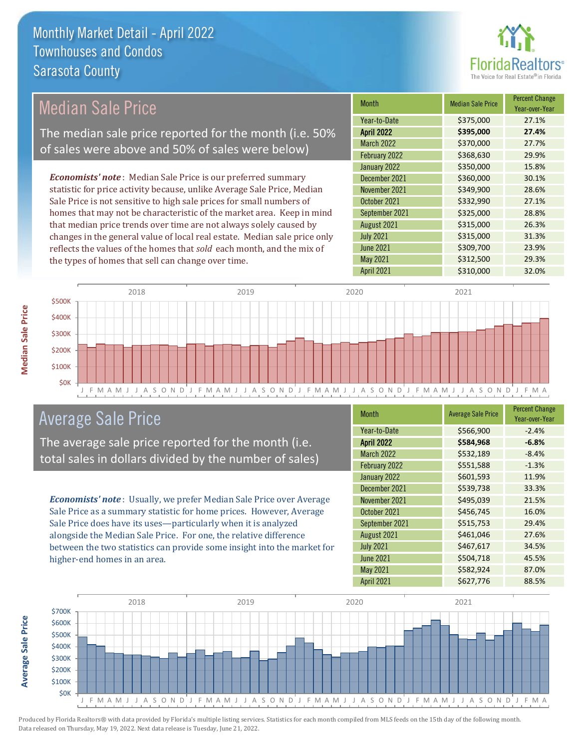

#### *Economists' note* : Median Sale Price is our preferred summary statistic for price activity because, unlike Average Sale Price, Median Sale Price is not sensitive to high sale prices for small numbers of homes that may not be characteristic of the market area. Keep in mind that median price trends over time are not always solely caused by changes in the general value of local real estate. Median sale price only reflects the values of the homes that *sold* each month, and the mix of the types of homes that sell can change over time. April 2021 \$310,000 32.0% June 2021 **5309,700** 23.9% May 2021 **\$312,500** \$312,500 29.3% August 2021 **\$315,000** 26.3% July 2021 **\$315,000** \$315,000 31.3% \$350,000 15.8% December 2021 \$360,000 30.1% September 2021 **\$325,000** 28.8% March 2022 \$370,000 27.7% February 2022 \$368,630 29.9% November 2021 **\$349,900** 28.6% October 2021 **\$332,990** 27.1% January 2022 Month Median Sale Price Percent Change Year-over-Year April 2022 **\$395,000 27.4%** Year-to-Date \$375,000 27.1% Median Sale Price The median sale price reported for the month (i.e. 50% of sales were above and 50% of sales were below)



## Average Sale Price

The average sale price reported for the month (i.e. total sales in dollars divided by the number of sales)

*Economists' note* : Usually, we prefer Median Sale Price over Average Sale Price as a summary statistic for home prices. However, Average Sale Price does have its uses—particularly when it is analyzed alongside the Median Sale Price. For one, the relative difference between the two statistics can provide some insight into the market for higher-end homes in an area.

| <b>Month</b>      | <b>Average Sale Price</b> | <b>Percent Change</b><br>Year-over-Year |
|-------------------|---------------------------|-----------------------------------------|
| Year-to-Date      | \$566,900                 | $-2.4%$                                 |
| <b>April 2022</b> | \$584,968                 | $-6.8%$                                 |
| March 2022        | \$532,189                 | $-8.4%$                                 |
| February 2022     | \$551,588                 | $-1.3%$                                 |
| January 2022      | \$601,593                 | 11.9%                                   |
| December 2021     | \$539,738                 | 33.3%                                   |
| November 2021     | \$495,039                 | 21.5%                                   |
| October 2021      | \$456,745                 | 16.0%                                   |
| September 2021    | \$515,753                 | 29.4%                                   |
| August 2021       | \$461,046                 | 27.6%                                   |
| <b>July 2021</b>  | \$467,617                 | 34.5%                                   |
| <b>June 2021</b>  | \$504,718                 | 45.5%                                   |
| <b>May 2021</b>   | \$582,924                 | 87.0%                                   |
| <b>April 2021</b> | \$627,776                 | 88.5%                                   |



**Median Sale Price**

**Median Sale Price**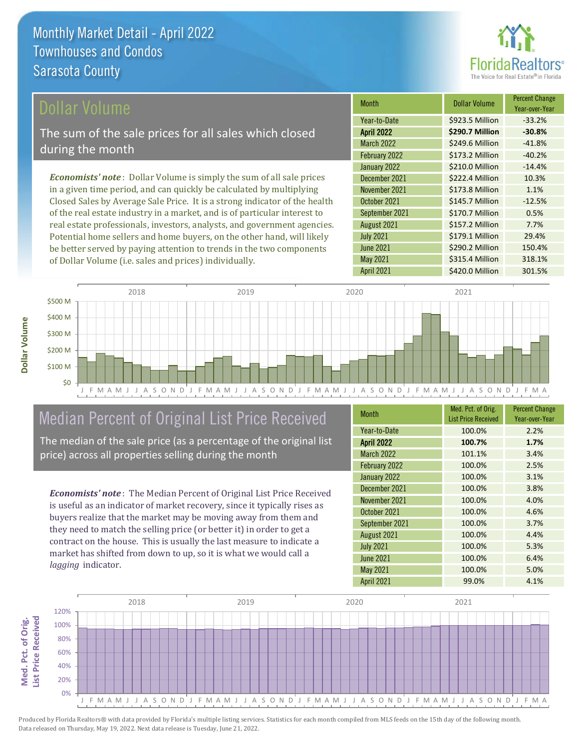

### ollar Volume

The sum of the sale prices for all sales which closed during the month

*Economists' note* : Dollar Volume is simply the sum of all sale prices in a given time period, and can quickly be calculated by multiplying Closed Sales by Average Sale Price. It is a strong indicator of the health of the real estate industry in a market, and is of particular interest to real estate professionals, investors, analysts, and government agencies. Potential home sellers and home buyers, on the other hand, will likely be better served by paying attention to trends in the two components of Dollar Volume (i.e. sales and prices) individually.

| Month             | Dollar Volume   | <b>Percent Change</b><br>Year-over-Year |
|-------------------|-----------------|-----------------------------------------|
| Year-to-Date      | \$923.5 Million | $-33.2%$                                |
| <b>April 2022</b> | \$290.7 Million | $-30.8%$                                |
| <b>March 2022</b> | \$249.6 Million | $-41.8%$                                |
| February 2022     | \$173.2 Million | $-40.2%$                                |
| January 2022      | \$210.0 Million | $-14.4%$                                |
| December 2021     | \$222.4 Million | 10.3%                                   |
| November 2021     | \$173.8 Million | 1.1%                                    |
| October 2021      | \$145.7 Million | $-12.5%$                                |
| September 2021    | \$170.7 Million | 0.5%                                    |
| August 2021       | \$157.2 Million | 7.7%                                    |
| <b>July 2021</b>  | \$179.1 Million | 29.4%                                   |
| <b>June 2021</b>  | \$290.2 Million | 150.4%                                  |
| <b>May 2021</b>   | \$315.4 Million | 318.1%                                  |
| April 2021        | \$420.0 Million | 301.5%                                  |



# Median Percent of Original List Price Received

The median of the sale price (as a percentage of the original list price) across all properties selling during the month

*Economists' note* : The Median Percent of Original List Price Received is useful as an indicator of market recovery, since it typically rises as buyers realize that the market may be moving away from them and they need to match the selling price (or better it) in order to get a contract on the house. This is usually the last measure to indicate a market has shifted from down to up, so it is what we would call a *lagging* indicator.

| <b>Month</b>      | Med. Pct. of Orig.<br><b>List Price Received</b> | <b>Percent Change</b><br>Year-over-Year |
|-------------------|--------------------------------------------------|-----------------------------------------|
| Year-to-Date      | 100.0%                                           | 2.2%                                    |
| <b>April 2022</b> | 100.7%                                           | 1.7%                                    |
| <b>March 2022</b> | 101.1%                                           | 3.4%                                    |
| February 2022     | 100.0%                                           | 2.5%                                    |
| January 2022      | 100.0%                                           | 3.1%                                    |
| December 2021     | 100.0%                                           | 3.8%                                    |
| November 2021     | 100.0%                                           | 4.0%                                    |
| October 2021      | 100.0%                                           | 4.6%                                    |
| September 2021    | 100.0%                                           | 3.7%                                    |
| August 2021       | 100.0%                                           | 4.4%                                    |
| <b>July 2021</b>  | 100.0%                                           | 5.3%                                    |
| <b>June 2021</b>  | 100.0%                                           | 6.4%                                    |
| May 2021          | 100.0%                                           | 5.0%                                    |
| <b>April 2021</b> | 99.0%                                            | 4.1%                                    |

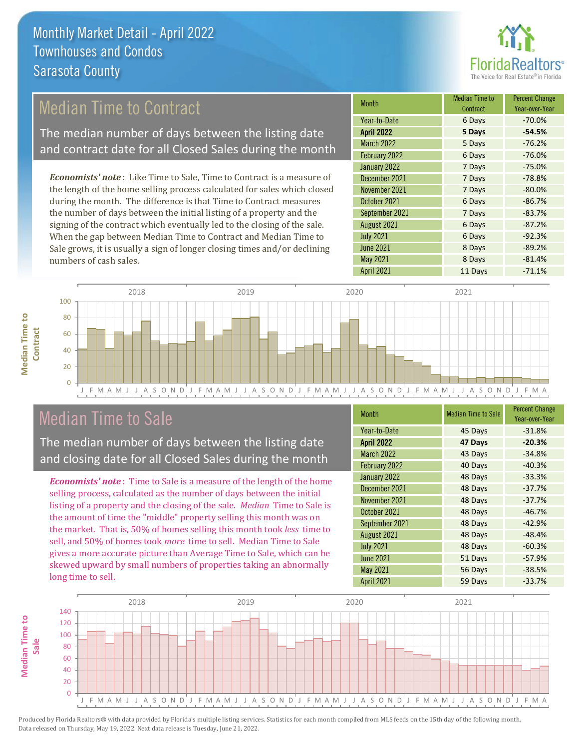

# Median Time to Contract

The median number of days between the listing date and contract date for all Closed Sales during the month

*Economists' note* : Like Time to Sale, Time to Contract is a measure of the length of the home selling process calculated for sales which closed during the month. The difference is that Time to Contract measures the number of days between the initial listing of a property and the signing of the contract which eventually led to the closing of the sale. When the gap between Median Time to Contract and Median Time to Sale grows, it is usually a sign of longer closing times and/or declining numbers of cash sales.

| Month             | Median Time to<br>Contract | <b>Percent Change</b><br>Year-over-Year |
|-------------------|----------------------------|-----------------------------------------|
| Year-to-Date      | 6 Days                     | $-70.0%$                                |
| <b>April 2022</b> | 5 Days                     | $-54.5%$                                |
| <b>March 2022</b> | 5 Days                     | $-76.2%$                                |
| February 2022     | 6 Days                     | $-76.0%$                                |
| January 2022      | 7 Days                     | $-75.0%$                                |
| December 2021     | 7 Days                     | $-78.8%$                                |
| November 2021     | 7 Days                     | $-80.0%$                                |
| October 2021      | 6 Days                     | $-86.7%$                                |
| September 2021    | 7 Days                     | $-83.7%$                                |
| August 2021       | 6 Days                     | $-87.2%$                                |
| <b>July 2021</b>  | 6 Days                     | $-92.3%$                                |
| <b>June 2021</b>  | 8 Days                     | $-89.2%$                                |
| May 2021          | 8 Days                     | $-81.4%$                                |
| April 2021        | 11 Days                    | $-71.1%$                                |



## Median Time to Sale

**Median Time to** 

**Median Time to** 

The median number of days between the listing date and closing date for all Closed Sales during the month

*Economists' note* : Time to Sale is a measure of the length of the home selling process, calculated as the number of days between the initial listing of a property and the closing of the sale. *Median* Time to Sale is the amount of time the "middle" property selling this month was on the market. That is, 50% of homes selling this month took *less* time to sell, and 50% of homes took *more* time to sell. Median Time to Sale gives a more accurate picture than Average Time to Sale, which can be skewed upward by small numbers of properties taking an abnormally long time to sell.

| <b>Month</b>      | <b>Median Time to Sale</b> | <b>Percent Change</b><br>Year-over-Year |
|-------------------|----------------------------|-----------------------------------------|
| Year-to-Date      | 45 Days                    | $-31.8%$                                |
| <b>April 2022</b> | 47 Days                    | $-20.3%$                                |
| <b>March 2022</b> | 43 Days                    | $-34.8%$                                |
| February 2022     | 40 Days                    | $-40.3%$                                |
| January 2022      | 48 Days                    | $-33.3%$                                |
| December 2021     | 48 Days                    | $-37.7%$                                |
| November 2021     | 48 Days                    | $-37.7%$                                |
| October 2021      | 48 Days                    | $-46.7%$                                |
| September 2021    | 48 Days                    | $-42.9%$                                |
| August 2021       | 48 Days                    | $-48.4%$                                |
| <b>July 2021</b>  | 48 Days                    | $-60.3%$                                |
| <b>June 2021</b>  | 51 Days                    | $-57.9%$                                |
| May 2021          | 56 Days                    | $-38.5%$                                |
| April 2021        | 59 Days                    | $-33.7%$                                |

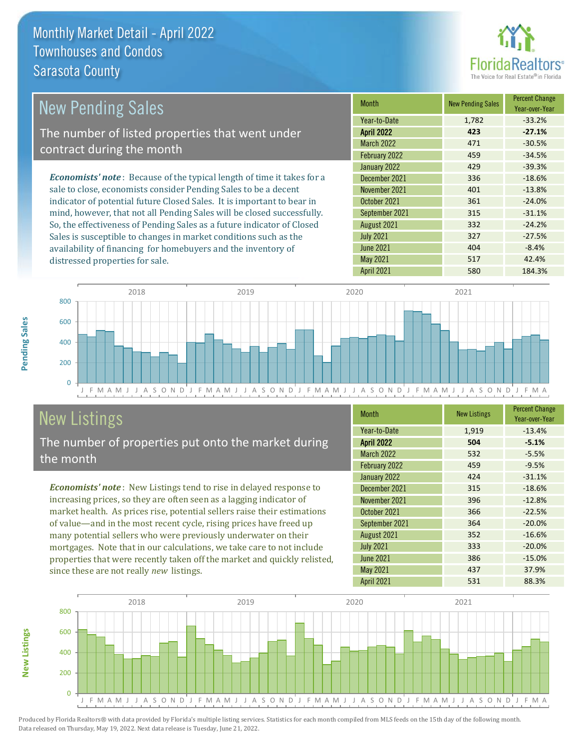distressed properties for sale.



| <b>New Pending Sales</b>                                                       | <b>Month</b>      | <b>New Pending Sales</b> | <b>Percent Change</b><br>Year-over-Year |
|--------------------------------------------------------------------------------|-------------------|--------------------------|-----------------------------------------|
|                                                                                | Year-to-Date      | 1,782                    | $-33.2%$                                |
| The number of listed properties that went under                                | <b>April 2022</b> | 423                      | $-27.1%$                                |
| contract during the month                                                      | <b>March 2022</b> | 471                      | $-30.5%$                                |
|                                                                                | February 2022     | 459                      | $-34.5%$                                |
|                                                                                | January 2022      | 429                      | $-39.3%$                                |
| <b>Economists' note</b> : Because of the typical length of time it takes for a | December 2021     | 336                      | $-18.6%$                                |
| sale to close, economists consider Pending Sales to be a decent                | November 2021     | 401                      | $-13.8%$                                |
| indicator of potential future Closed Sales. It is important to bear in         | October 2021      | 361                      | $-24.0%$                                |
| mind, however, that not all Pending Sales will be closed successfully.         | September 2021    | 315                      | $-31.1%$                                |
| So, the effectiveness of Pending Sales as a future indicator of Closed         | August 2021       | 332                      | $-24.2%$                                |
| Sales is susceptible to changes in market conditions such as the               | <b>July 2021</b>  | 327                      | $-27.5%$                                |



# New Listings

The number of properties put onto the market during the month

availability of financing for homebuyers and the inventory of

*Economists' note* : New Listings tend to rise in delayed response to increasing prices, so they are often seen as a lagging indicator of market health. As prices rise, potential sellers raise their estimations of value—and in the most recent cycle, rising prices have freed up many potential sellers who were previously underwater on their mortgages. Note that in our calculations, we take care to not include properties that were recently taken off the market and quickly relisted, since these are not really *new* listings.

| <b>Month</b>      | <b>New Listings</b> | <b>Percent Change</b><br>Year-over-Year |
|-------------------|---------------------|-----------------------------------------|
| Year-to-Date      | 1,919               | $-13.4%$                                |
| <b>April 2022</b> | 504                 | $-5.1%$                                 |
| <b>March 2022</b> | 532                 | $-5.5%$                                 |
| February 2022     | 459                 | $-9.5%$                                 |
| January 2022      | 424                 | $-31.1%$                                |
| December 2021     | 315                 | $-18.6%$                                |
| November 2021     | 396                 | $-12.8%$                                |
| October 2021      | 366                 | $-22.5%$                                |
| September 2021    | 364                 | $-20.0%$                                |
| August 2021       | 352                 | $-16.6%$                                |
| <b>July 2021</b>  | 333                 | $-20.0%$                                |
| <b>June 2021</b>  | 386                 | $-15.0%$                                |
| <b>May 2021</b>   | 437                 | 37.9%                                   |
| <b>April 2021</b> | 531                 | 88.3%                                   |

 $June 2021$   $404$   $-8.4%$ May 2021 517 517 42.4%



**New Listings**

**Pending Sales**

Pending Sales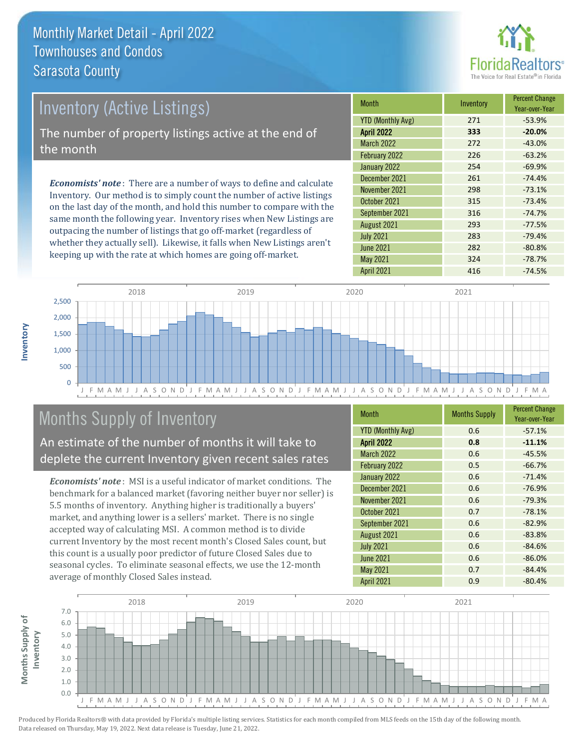

# *Economists' note* : There are a number of ways to define and calculate Inventory (Active Listings) The number of property listings active at the end of the month

Inventory. Our method is to simply count the number of active listings on the last day of the month, and hold this number to compare with the same month the following year. Inventory rises when New Listings are outpacing the number of listings that go off-market (regardless of whether they actually sell). Likewise, it falls when New Listings aren't keeping up with the rate at which homes are going off-market.

| <b>Month</b>             | Inventory | <b>Percent Change</b><br>Year-over-Year |
|--------------------------|-----------|-----------------------------------------|
| <b>YTD (Monthly Avg)</b> | 271       | $-53.9%$                                |
| <b>April 2022</b>        | 333       | $-20.0%$                                |
| <b>March 2022</b>        | 272       | $-43.0%$                                |
| February 2022            | 226       | $-63.2%$                                |
| January 2022             | 254       | $-69.9%$                                |
| December 2021            | 261       | $-74.4%$                                |
| November 2021            | 298       | $-73.1%$                                |
| October 2021             | 315       | $-73.4%$                                |
| September 2021           | 316       | $-74.7%$                                |
| August 2021              | 293       | $-77.5%$                                |
| <b>July 2021</b>         | 283       | $-79.4%$                                |
| <b>June 2021</b>         | 282       | $-80.8%$                                |
| <b>May 2021</b>          | 324       | $-78.7%$                                |
| <b>April 2021</b>        | 416       | $-74.5%$                                |



# Months Supply of Inventory

An estimate of the number of months it will take to deplete the current Inventory given recent sales rates

*Economists' note* : MSI is a useful indicator of market conditions. The benchmark for a balanced market (favoring neither buyer nor seller) is 5.5 months of inventory. Anything higher is traditionally a buyers' market, and anything lower is a sellers' market. There is no single accepted way of calculating MSI. A common method is to divide current Inventory by the most recent month's Closed Sales count, but this count is a usually poor predictor of future Closed Sales due to seasonal cycles. To eliminate seasonal effects, we use the 12-month average of monthly Closed Sales instead.

| <b>Month</b>             | <b>Months Supply</b> | <b>Percent Change</b><br>Year-over-Year |
|--------------------------|----------------------|-----------------------------------------|
| <b>YTD (Monthly Avg)</b> | 0.6                  | $-57.1%$                                |
| <b>April 2022</b>        | 0.8                  | $-11.1%$                                |
| <b>March 2022</b>        | 0.6                  | $-45.5%$                                |
| February 2022            | 0.5                  | $-66.7%$                                |
| January 2022             | 0.6                  | $-71.4%$                                |
| December 2021            | 0.6                  | $-76.9%$                                |
| November 2021            | 0.6                  | $-79.3%$                                |
| October 2021             | 0.7                  | $-78.1%$                                |
| September 2021           | 0.6                  | $-82.9%$                                |
| August 2021              | 0.6                  | $-83.8%$                                |
| <b>July 2021</b>         | 0.6                  | $-84.6%$                                |
| <b>June 2021</b>         | 0.6                  | $-86.0%$                                |
| <b>May 2021</b>          | 0.7                  | $-84.4%$                                |
| April 2021               | 0.9                  | $-80.4%$                                |

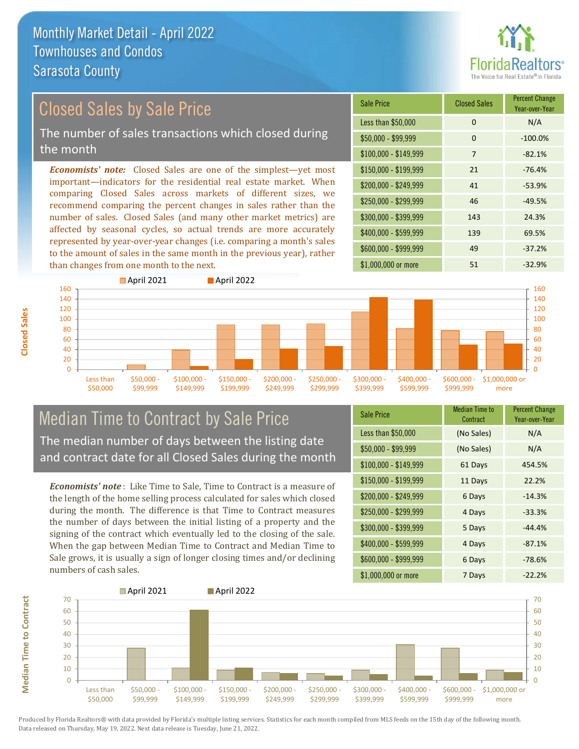

# Closed Sales by Sale Price

The number of sales transactions which closed during the month

*Economists' note:* Closed Sales are one of the simplest—yet most important—indicators for the residential real estate market. When comparing Closed Sales across markets of different sizes, we recommend comparing the percent changes in sales rather than the number of sales. Closed Sales (and many other market metrics) are affected by seasonal cycles, so actual trends are more accurately represented by year-over-year changes (i.e. comparing a month's sales to the amount of sales in the same month in the previous year), rather than changes from one month to the next.





#### Median Time to Contract by Sale Price The median number of days between the listing date and contract date for all Closed Sales during the month

*Economists' note* : Like Time to Sale, Time to Contract is a measure of the length of the home selling process calculated for sales which closed during the month. The difference is that Time to Contract measures the number of days between the initial listing of a property and the signing of the contract which eventually led to the closing of the sale. When the gap between Median Time to Contract and Median Time to Sale grows, it is usually a sign of longer closing times and/or declining numbers of cash sales.

| <b>Sale Price</b>     | Median Time to<br>Contract | <b>Percent Change</b><br>Year-over-Year |
|-----------------------|----------------------------|-----------------------------------------|
| Less than \$50,000    | (No Sales)                 | N/A                                     |
| $$50,000 - $99,999$   | (No Sales)                 | N/A                                     |
| $$100,000 - $149,999$ | 61 Days                    | 454.5%                                  |
| $$150,000 - $199,999$ | 11 Days                    | 22.2%                                   |
| \$200,000 - \$249,999 | 6 Days                     | $-14.3%$                                |
| \$250,000 - \$299,999 | 4 Days                     | $-33.3%$                                |
| \$300,000 - \$399,999 | 5 Days                     | $-44.4%$                                |
| \$400,000 - \$599,999 | 4 Days                     | $-87.1%$                                |
| \$600,000 - \$999,999 | 6 Days                     | $-78.6%$                                |
| \$1,000,000 or more   | 7 Days                     | $-22.2%$                                |



Produced by Florida Realtors® with data provided by Florida's multiple listing services. Statistics for each month compiled from MLS feeds on the 15th day of the following month. Data released on Thursday, May 19, 2022. Next data release is Tuesday, June 21, 2022.

**Median Time to Contract**

**Median Time to Contract**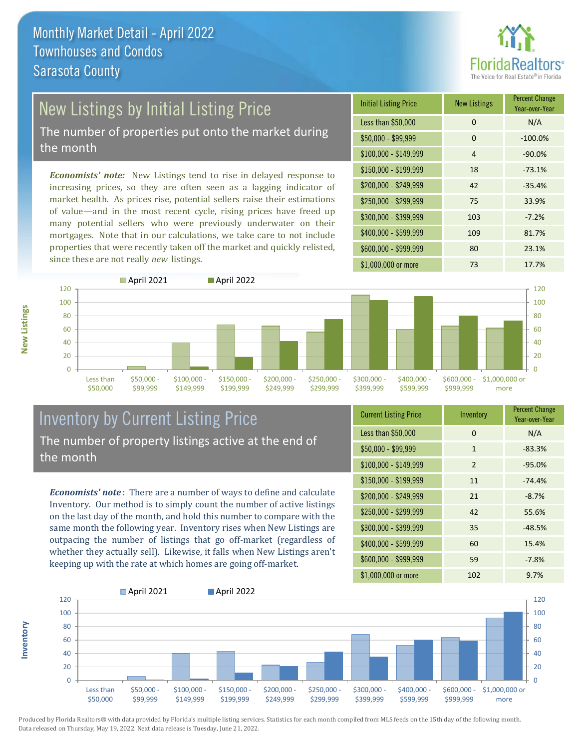

# New Listings by Initial Listing Price

The number of properties put onto the market during the month

*Economists' note:* New Listings tend to rise in delayed response to increasing prices, so they are often seen as a lagging indicator of market health. As prices rise, potential sellers raise their estimations of value—and in the most recent cycle, rising prices have freed up many potential sellers who were previously underwater on their mortgages. Note that in our calculations, we take care to not include properties that were recently taken off the market and quickly relisted, since these are not really *new* listings.





#### Inventory by Current Listing Price The number of property listings active at the end of the month

*Economists' note* : There are a number of ways to define and calculate Inventory. Our method is to simply count the number of active listings on the last day of the month, and hold this number to compare with the same month the following year. Inventory rises when New Listings are outpacing the number of listings that go off-market (regardless of whether they actually sell). Likewise, it falls when New Listings aren't keeping up with the rate at which homes are going off-market.

| <b>Current Listing Price</b> | Inventory    | <b>Percent Change</b><br>Year-over-Year |
|------------------------------|--------------|-----------------------------------------|
| Less than \$50,000           | 0            | N/A                                     |
| $$50,000 - $99,999$          | $\mathbf{1}$ | $-83.3%$                                |
| $$100,000 - $149,999$        | 2            | $-95.0%$                                |
| $$150,000 - $199,999$        | 11           | $-74.4%$                                |
| \$200,000 - \$249,999        | 21           | $-8.7%$                                 |
| \$250,000 - \$299,999        | 42           | 55.6%                                   |
| \$300,000 - \$399,999        | 35           | $-48.5%$                                |
| \$400,000 - \$599,999        | 60           | 15.4%                                   |
| \$600,000 - \$999,999        | 59           | $-7.8%$                                 |
| \$1,000,000 or more          | 102          | 9.7%                                    |



Produced by Florida Realtors® with data provided by Florida's multiple listing services. Statistics for each month compiled from MLS feeds on the 15th day of the following month. Data released on Thursday, May 19, 2022. Next data release is Tuesday, June 21, 2022.

**Inventory**